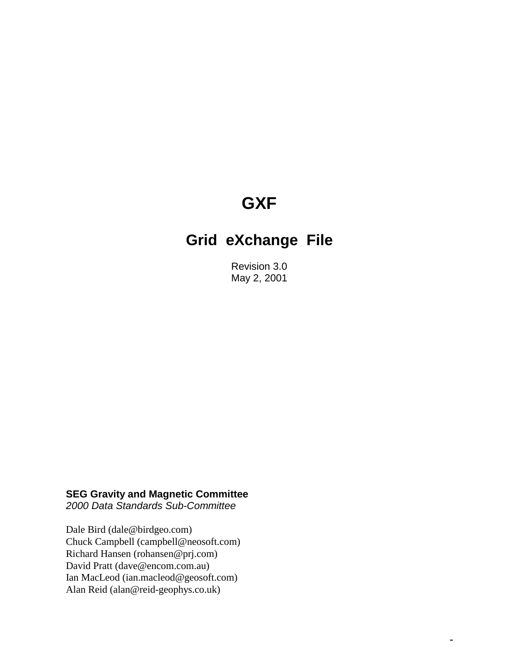# **GXF**

# **Grid eXchange File**

Revision 3.0 May 2, 2001

 $\equiv$ 

### **SEG Gravity and Magnetic Committee**

*2000 Data Standards Sub-Committee* 

Dale Bird (dale@birdgeo.com) Chuck Campbell (campbell@neosoft.com) Richard Hansen (rohansen@prj.com) David Pratt (dave@encom.com.au) Ian MacLeod (ian.macleod@geosoft.com) Alan Reid (alan@reid-geophys.co.uk)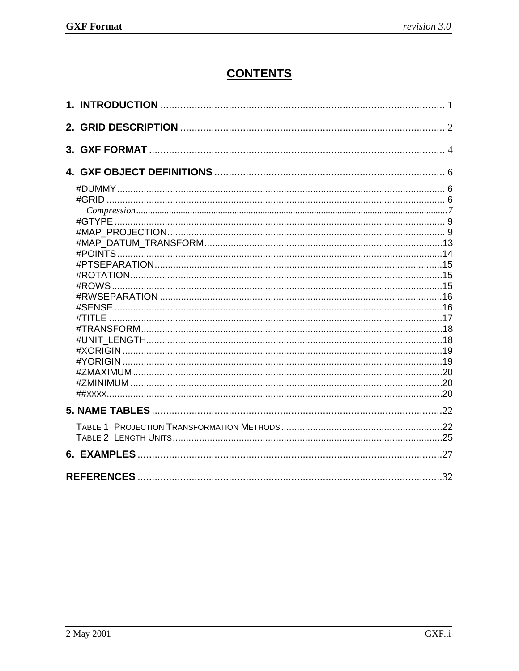# **CONTENTS**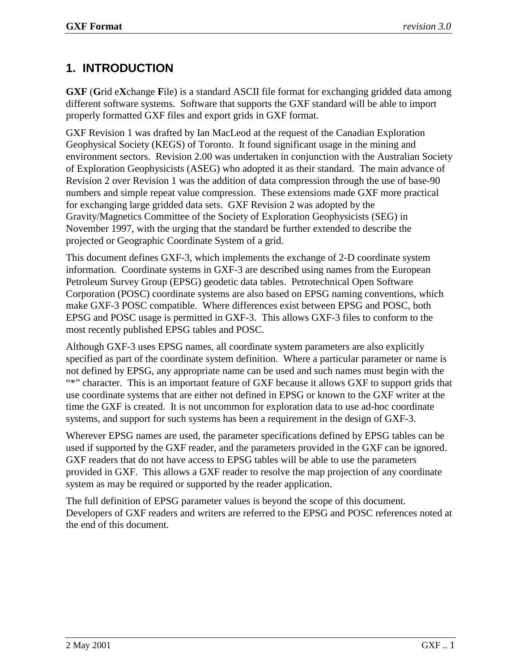# <span id="page-2-0"></span>**1. INTRODUCTION**

**GXF** (**G**rid e**X**change **F**ile) is a standard ASCII file format for exchanging gridded data among different software systems. Software that supports the GXF standard will be able to import properly formatted GXF files and export grids in GXF format.

GXF Revision 1 was drafted by Ian MacLeod at the request of the Canadian Exploration Geophysical Society (KEGS) of Toronto. It found significant usage in the mining and environment sectors. Revision 2.00 was undertaken in conjunction with the Australian Society of Exploration Geophysicists (ASEG) who adopted it as their standard. The main advance of Revision 2 over Revision 1 was the addition of data compression through the use of base-90 numbers and simple repeat value compression. These extensions made GXF more practical for exchanging large gridded data sets. GXF Revision 2 was adopted by the Gravity/Magnetics Committee of the Society of Exploration Geophysicists (SEG) in November 1997, with the urging that the standard be further extended to describe the projected or Geographic Coordinate System of a grid.

This document defines GXF-3, which implements the exchange of 2-D coordinate system information. Coordinate systems in GXF-3 are described using names from the European Petroleum Survey Group (EPSG) geodetic data tables. Petrotechnical Open Software Corporation (POSC) coordinate systems are also based on EPSG naming conventions, which make GXF-3 POSC compatible. Where differences exist between EPSG and POSC, both EPSG and POSC usage is permitted in GXF-3. This allows GXF-3 files to conform to the most recently published EPSG tables and POSC.

Although GXF-3 uses EPSG names, all coordinate system parameters are also explicitly specified as part of the coordinate system definition. Where a particular parameter or name is not defined by EPSG, any appropriate name can be used and such names must begin with the "\*" character. This is an important feature of GXF because it allows GXF to support grids that use coordinate systems that are either not defined in EPSG or known to the GXF writer at the time the GXF is created. It is not uncommon for exploration data to use ad-hoc coordinate systems, and support for such systems has been a requirement in the design of GXF-3.

Wherever EPSG names are used, the parameter specifications defined by EPSG tables can be used if supported by the GXF reader, and the parameters provided in the GXF can be ignored. GXF readers that do not have access to EPSG tables will be able to use the parameters provided in GXF. This allows a GXF reader to resolve the map projection of any coordinate system as may be required or supported by the reader application.

The full definition of EPSG parameter values is beyond the scope of this document. Developers of GXF readers and writers are referred to the EPSG and POSC references noted at the end of this document.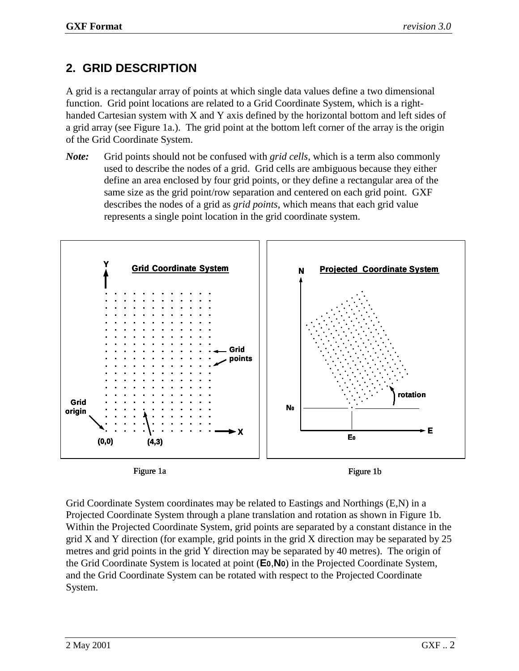# <span id="page-3-0"></span>**2. GRID DESCRIPTION**

A grid is a rectangular array of points at which single data values define a two dimensional function. Grid point locations are related to a Grid Coordinate System, which is a righthanded Cartesian system with X and Y axis defined by the horizontal bottom and left sides of a grid array (see Figure 1a.). The grid point at the bottom left corner of the array is the origin of the Grid Coordinate System.

*Note:* Grid points should not be confused with *grid cells*, which is a term also commonly used to describe the nodes of a grid. Grid cells are ambiguous because they either define an area enclosed by four grid points, or they define a rectangular area of the same size as the grid point/row separation and centered on each grid point. GXF describes the nodes of a grid as *grid points*, which means that each grid value represents a single point location in the grid coordinate system.



Grid Coordinate System coordinates may be related to Eastings and Northings (E,N) in a Projected Coordinate System through a plane translation and rotation as shown in Figure 1b. Within the Projected Coordinate System, grid points are separated by a constant distance in the grid X and Y direction (for example, grid points in the grid X direction may be separated by 25 metres and grid points in the grid Y direction may be separated by 40 metres). The origin of the Grid Coordinate System is located at point (**E0**,**N0**) in the Projected Coordinate System, and the Grid Coordinate System can be rotated with respect to the Projected Coordinate System.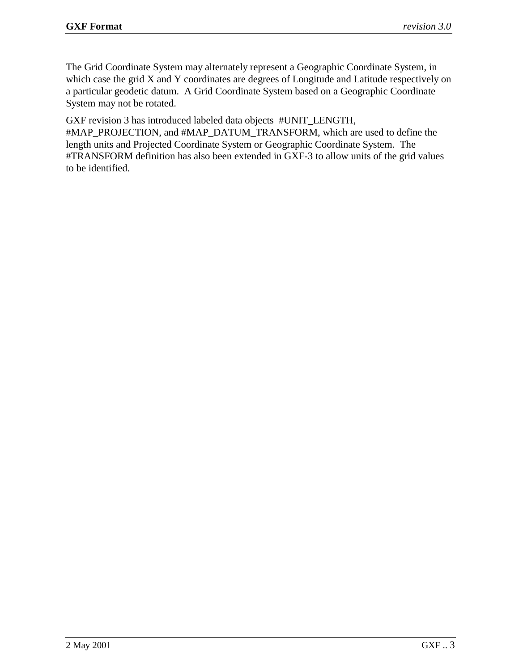The Grid Coordinate System may alternately represent a Geographic Coordinate System, in which case the grid X and Y coordinates are degrees of Longitude and Latitude respectively on a particular geodetic datum. A Grid Coordinate System based on a Geographic Coordinate System may not be rotated.

GXF revision 3 has introduced labeled data objects #UNIT\_LENGTH,

#MAP\_PROJECTION, and #MAP\_DATUM\_TRANSFORM, which are used to define the length units and Projected Coordinate System or Geographic Coordinate System. The #TRANSFORM definition has also been extended in GXF-3 to allow units of the grid values to be identified.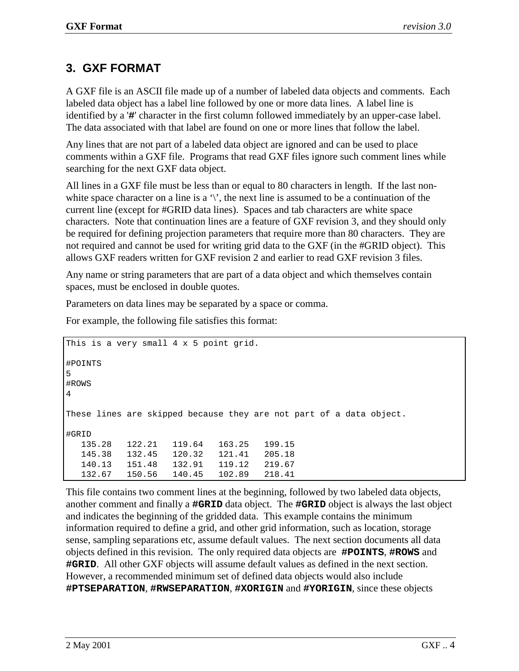# <span id="page-5-0"></span>**3. GXF FORMAT**

A GXF file is an ASCII file made up of a number of labeled data objects and comments. Each labeled data object has a label line followed by one or more data lines. A label line is identified by a '**#**' character in the first column followed immediately by an upper-case label. The data associated with that label are found on one or more lines that follow the label.

Any lines that are not part of a labeled data object are ignored and can be used to place comments within a GXF file. Programs that read GXF files ignore such comment lines while searching for the next GXF data object.

All lines in a GXF file must be less than or equal to 80 characters in length. If the last nonwhite space character on a line is a  $\gamma$ , the next line is assumed to be a continuation of the current line (except for #GRID data lines). Spaces and tab characters are white space characters. Note that continuation lines are a feature of GXF revision 3, and they should only be required for defining projection parameters that require more than 80 characters. They are not required and cannot be used for writing grid data to the GXF (in the #GRID object). This allows GXF readers written for GXF revision 2 and earlier to read GXF revision 3 files.

Any name or string parameters that are part of a data object and which themselves contain spaces, must be enclosed in double quotes.

Parameters on data lines may be separated by a space or comma.

For example, the following file satisfies this format:

```
This is a very small 4 \times 5 point grid.
#POINTS
5
#ROWS
4
These lines are skipped because they are not part of a data object.
#GRID
  135.28 122.21 119.64 163.25 199.15
  145.38 132.45 120.32 121.41 205.18
  140.13 151.48 132.91 119.12 219.67
  132.67 150.56 140.45 102.89 218.41
```
This file contains two comment lines at the beginning, followed by two labeled data objects, another comment and finally a **#GRID** data object. The **#GRID** object is always the last object and indicates the beginning of the gridded data. This example contains the minimum information required to define a grid, and other grid information, such as location, storage sense, sampling separations etc, assume default values. The next section documents all data objects defined in this revision. The only required data objects are **#POINTS**, **#ROWS** and **#GRID**. All other GXF objects will assume default values as defined in the next section. However, a recommended minimum set of defined data objects would also include **#PTSEPARATION**, **#RWSEPARATION**, **#XORIGIN** and **#YORIGIN**, since these objects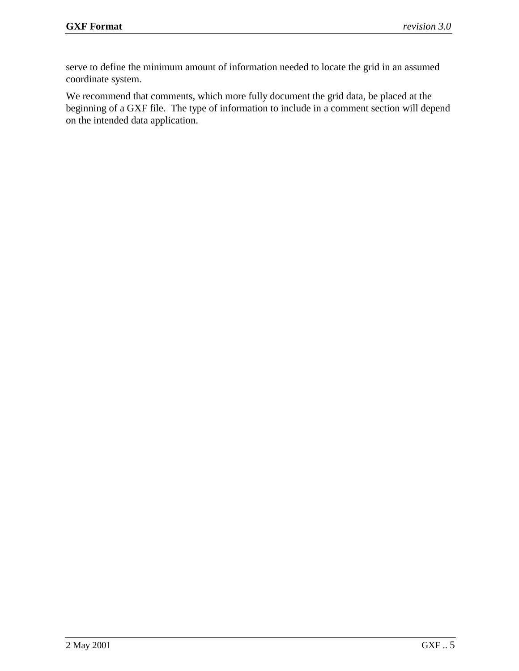serve to define the minimum amount of information needed to locate the grid in an assumed coordinate system.

We recommend that comments, which more fully document the grid data, be placed at the beginning of a GXF file. The type of information to include in a comment section will depend on the intended data application.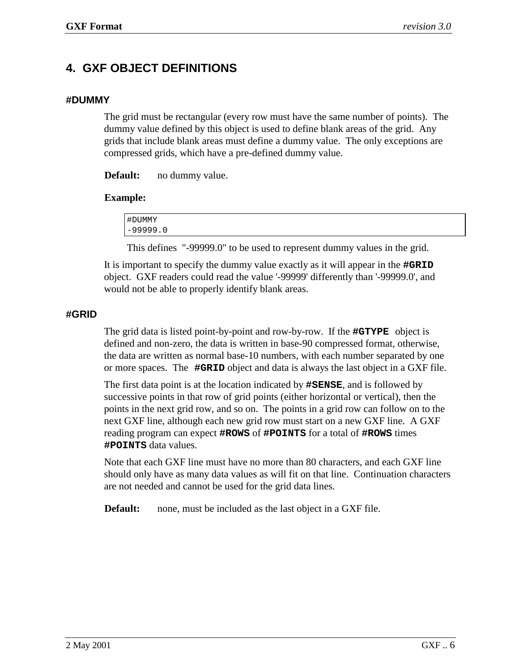## <span id="page-7-0"></span>**4. GXF OBJECT DEFINITIONS**

#### **#DUMMY**

The grid must be rectangular (every row must have the same number of points). The dummy value defined by this object is used to define blank areas of the grid. Any grids that include blank areas must define a dummy value. The only exceptions are compressed grids, which have a pre-defined dummy value.

**Default:** no dummy value.

#### **Example:**

| #DUMMY     |  |  |
|------------|--|--|
| $-99999.0$ |  |  |

This defines "-99999.0" to be used to represent dummy values in the grid.

It is important to specify the dummy value exactly as it will appear in the **#GRID** object. GXF readers could read the value '-99999' differently than '-99999.0', and would not be able to properly identify blank areas.

#### **#GRID**

The grid data is listed point-by-point and row-by-row. If the **#GTYPE** object is defined and non-zero, the data is written in base-90 compressed format, otherwise, the data are written as normal base-10 numbers, with each number separated by one or more spaces. The **#GRID** object and data is always the last object in a GXF file.

The first data point is at the location indicated by **#SENSE**, and is followed by successive points in that row of grid points (either horizontal or vertical), then the points in the next grid row, and so on. The points in a grid row can follow on to the next GXF line, although each new grid row must start on a new GXF line. A GXF reading program can expect **#ROWS** of **#POINTS** for a total of **#ROWS** times **#POINTS** data values.

Note that each GXF line must have no more than 80 characters, and each GXF line should only have as many data values as will fit on that line. Continuation characters are not needed and cannot be used for the grid data lines.

**Default:** none, must be included as the last object in a GXF file.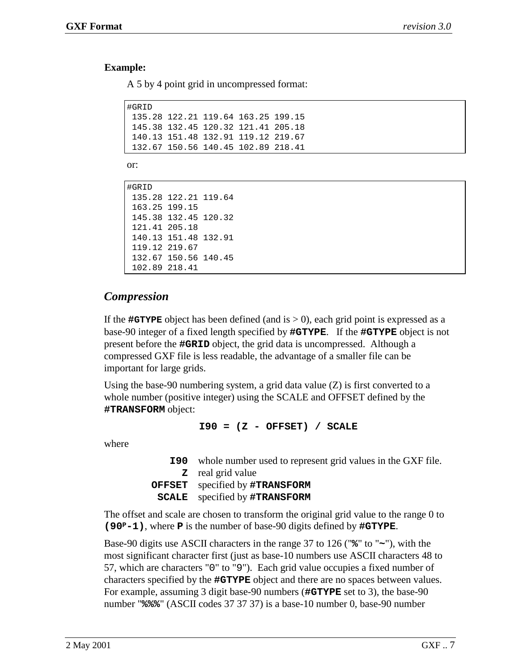#### <span id="page-8-0"></span>**Example:**

A 5 by 4 point grid in uncompressed format:

| #GRID |                                    |  |
|-------|------------------------------------|--|
|       | 135.28 122.21 119.64 163.25 199.15 |  |
|       | 145.38 132.45 120.32 121.41 205.18 |  |
|       | 140.13 151.48 132.91 119.12 219.67 |  |
|       | 132.67 150.56 140.45 102.89 218.41 |  |

or:

#GRID 135.28 122.21 119.64 163.25 199.15 145.38 132.45 120.32 121.41 205.18 140.13 151.48 132.91 119.12 219.67 132.67 150.56 140.45 102.89 218.41

### *Compression*

If the  $\#GTypeE$  object has been defined (and is  $> 0$ ), each grid point is expressed as a base-90 integer of a fixed length specified by **#GTYPE**. If the **#GTYPE** object is not present before the **#GRID** object, the grid data is uncompressed. Although a compressed GXF file is less readable, the advantage of a smaller file can be important for large grids.

Using the base-90 numbering system, a grid data value (Z) is first converted to a whole number (positive integer) using the SCALE and OFFSET defined by the **#TRANSFORM** object:

**I90 = (Z - OFFSET) / SCALE**

where

| <b>190</b> whole number used to represent grid values in the GXF file. |
|------------------------------------------------------------------------|
| <b>z</b> real grid value                                               |
| <b>OFFSET</b> specified by #TRANSFORM                                  |
| <b>SCALE</b> specified by #TRANSFORM                                   |

The offset and scale are chosen to transform the original grid value to the range 0 to **(90P-1)**, where **P** is the number of base-90 digits defined by **#GTYPE**.

Base-90 digits use ASCII characters in the range 37 to 126 ("**%**" to "**~**"), with the most significant character first (just as base-10 numbers use ASCII characters 48 to 57, which are characters "0" to "9"). Each grid value occupies a fixed number of characters specified by the **#GTYPE** object and there are no spaces between values. For example, assuming 3 digit base-90 numbers (**#GTYPE** set to 3), the base-90 number "**%%%**" (ASCII codes 37 37 37) is a base-10 number 0, base-90 number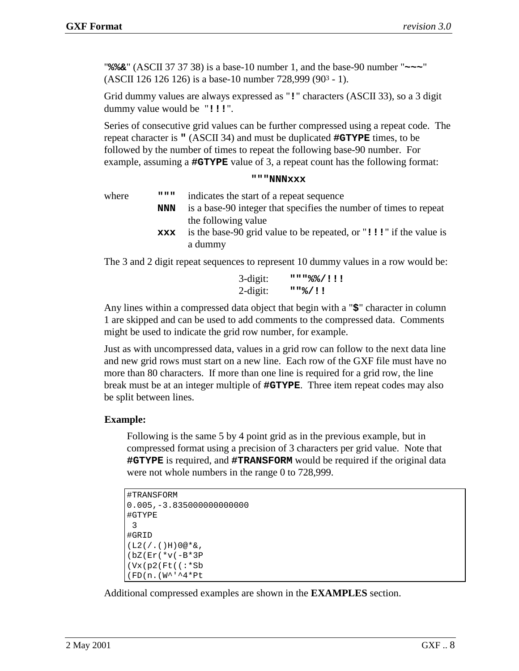"**%%&**" (ASCII 37 37 38) is a base-10 number 1, and the base-90 number "**~~~**" (ASCII 126 126 126) is a base-10 number 728,999 (903 - 1).

Grid dummy values are always expressed as "**!**" characters (ASCII 33), so a 3 digit dummy value would be "**!!!**".

Series of consecutive grid values can be further compressed using a repeat code. The repeat character is **"** (ASCII 34) and must be duplicated **#GTYPE** times, to be followed by the number of times to repeat the following base-90 number. For example, assuming a **#GTYPE** value of 3, a repeat count has the following format:

#### **"""NNNxxx**

where **"""** indicates the start of a repeat sequence **NNN** is a base-90 integer that specifies the number of times to repeat the following value **xxx** is the base-90 grid value to be repeated, or "**!!!**" if the value is a dummy

The 3 and 2 digit repeat sequences to represent 10 dummy values in a row would be:

| 3-digit:    | """%%/!!! |
|-------------|-----------|
| $2$ -digit: | 118/11    |

Any lines within a compressed data object that begin with a "**\$**" character in column 1 are skipped and can be used to add comments to the compressed data. Comments might be used to indicate the grid row number, for example.

Just as with uncompressed data, values in a grid row can follow to the next data line and new grid rows must start on a new line. Each row of the GXF file must have no more than 80 characters. If more than one line is required for a grid row, the line break must be at an integer multiple of **#GTYPE**. Three item repeat codes may also be split between lines.

#### **Example:**

Following is the same 5 by 4 point grid as in the previous example, but in compressed format using a precision of 3 characters per grid value. Note that **#GTYPE** is required, and **#TRANSFORM** would be required if the original data were not whole numbers in the range 0 to 728,999.

```
#TRANSFORM
0.005,-3.835000000000000
#GTYPE
3
#GRID
(L2)/(.)H)0@*&,(bZ(Er(*v(-B*3P
(Vx(p2(Ft((:*Sb
(FD(n.(W^'^4*Pt
```
Additional compressed examples are shown in the **EXAMPLES** section.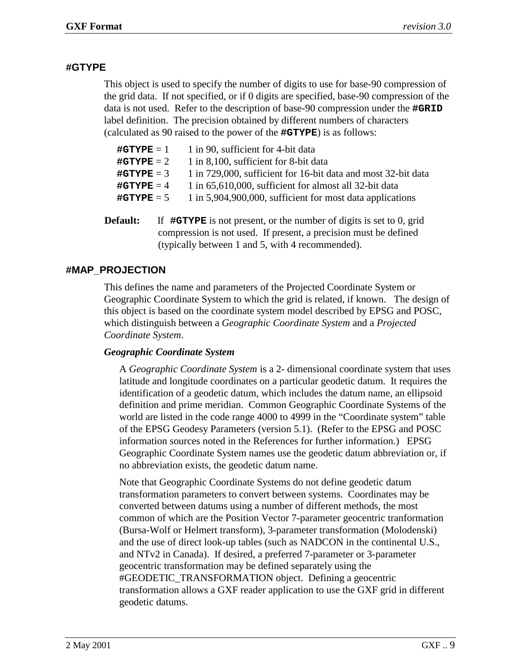#### <span id="page-10-0"></span>**#GTYPE**

This object is used to specify the number of digits to use for base-90 compression of the grid data. If not specified, or if 0 digits are specified, base-90 compression of the data is not used. Refer to the description of base-90 compression under the **#GRID** label definition. The precision obtained by different numbers of characters (calculated as 90 raised to the power of the **#GTYPE**) is as follows:

| $\text{\#GTypeE} = 1$ | 1 in 90, sufficient for 4-bit data                            |
|-----------------------|---------------------------------------------------------------|
| # $G$ TYPE = 2        | 1 in 8,100, sufficient for 8-bit data                         |
| # $G$ TYPE = 3        | 1 in 729,000, sufficient for 16-bit data and most 32-bit data |
| # $G$ TYPE = 4        | 1 in 65,610,000, sufficient for almost all 32-bit data        |
| # $G$ TYPE = 5        | 1 in 5,904,900,000, sufficient for most data applications     |
|                       |                                                               |

**Default:** If  $\#G\mathbf{Type}$  is not present, or the number of digits is set to 0, grid compression is not used. If present, a precision must be defined (typically between 1 and 5, with 4 recommended).

### **#MAP\_PROJECTION**

This defines the name and parameters of the Projected Coordinate System or Geographic Coordinate System to which the grid is related, if known. The design of this object is based on the coordinate system model described by EPSG and POSC, which distinguish between a *Geographic Coordinate System* and a *Projected Coordinate System*.

#### *Geographic Coordinate System*

A *Geographic Coordinate System* is a 2- dimensional coordinate system that uses latitude and longitude coordinates on a particular geodetic datum. It requires the identification of a geodetic datum, which includes the datum name, an ellipsoid definition and prime meridian. Common Geographic Coordinate Systems of the world are listed in the code range 4000 to 4999 in the "Coordinate system" table of the EPSG Geodesy Parameters (version 5.1). (Refer to the EPSG and POSC information sources noted in the References for further information.) EPSG Geographic Coordinate System names use the geodetic datum abbreviation or, if no abbreviation exists, the geodetic datum name.

Note that Geographic Coordinate Systems do not define geodetic datum transformation parameters to convert between systems. Coordinates may be converted between datums using a number of different methods, the most common of which are the Position Vector 7-parameter geocentric tranformation (Bursa-Wolf or Helmert transform), 3-parameter transformation (Molodenski) and the use of direct look-up tables (such as NADCON in the continental U.S., and NTv2 in Canada). If desired, a preferred 7-parameter or 3-parameter geocentric transformation may be defined separately using the #GEODETIC\_TRANSFORMATION object. Defining a geocentric transformation allows a GXF reader application to use the GXF grid in different geodetic datums.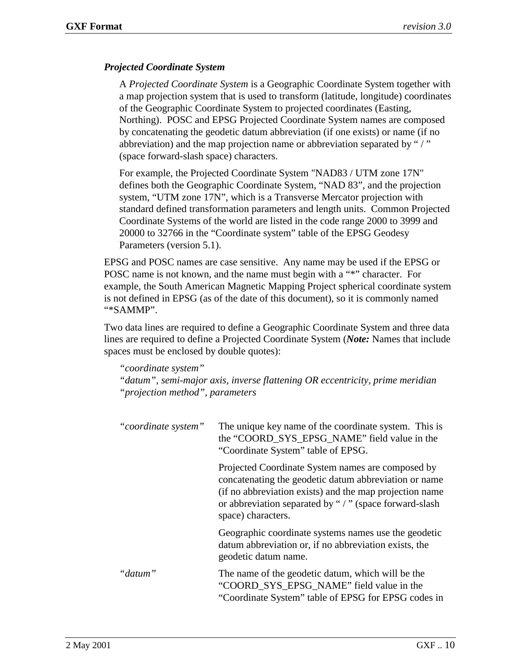#### *Projected Coordinate System*

A *Projected Coordinate System* is a Geographic Coordinate System together with a map projection system that is used to transform (latitude, longitude) coordinates of the Geographic Coordinate System to projected coordinates (Easting, Northing). POSC and EPSG Projected Coordinate System names are composed by concatenating the geodetic datum abbreviation (if one exists) or name (if no abbreviation) and the map projection name or abbreviation separated by "/" (space forward-slash space) characters.

For example, the Projected Coordinate System "NAD83 / UTM zone 17N" defines both the Geographic Coordinate System, "NAD 83", and the projection system, "UTM zone 17N", which is a Transverse Mercator projection with standard defined transformation parameters and length units. Common Projected Coordinate Systems of the world are listed in the code range 2000 to 3999 and 20000 to 32766 in the "Coordinate system" table of the EPSG Geodesy Parameters (version 5.1).

EPSG and POSC names are case sensitive. Any name may be used if the EPSG or POSC name is not known, and the name must begin with a "\*" character. For example, the South American Magnetic Mapping Project spherical coordinate system is not defined in EPSG (as of the date of this document), so it is commonly named "\*SAMMP".

Two data lines are required to define a Geographic Coordinate System and three data lines are required to define a Projected Coordinate System (*Note:* Names that include spaces must be enclosed by double quotes):

*"coordinate system" "datum", semi-major axis, inverse flattening OR eccentricity, prime meridian "projection method", parameters* 

| "coordinate system" | The unique key name of the coordinate system. This is<br>the "COORD SYS EPSG NAME" field value in the<br>"Coordinate System" table of EPSG.                                                                                                          |  |  |
|---------------------|------------------------------------------------------------------------------------------------------------------------------------------------------------------------------------------------------------------------------------------------------|--|--|
|                     | Projected Coordinate System names are composed by<br>concatenating the geodetic datum abbreviation or name<br>(if no abbreviation exists) and the map projection name<br>or abbreviation separated by "/" (space forward-slash<br>space) characters. |  |  |
|                     | Geographic coordinate systems names use the geodetic<br>datum abbreviation or, if no abbreviation exists, the<br>geodetic datum name.                                                                                                                |  |  |
| "datum"             | The name of the geodetic datum, which will be the<br>"COORD SYS EPSG NAME" field value in the<br>"Coordinate System" table of EPSG for EPSG codes in                                                                                                 |  |  |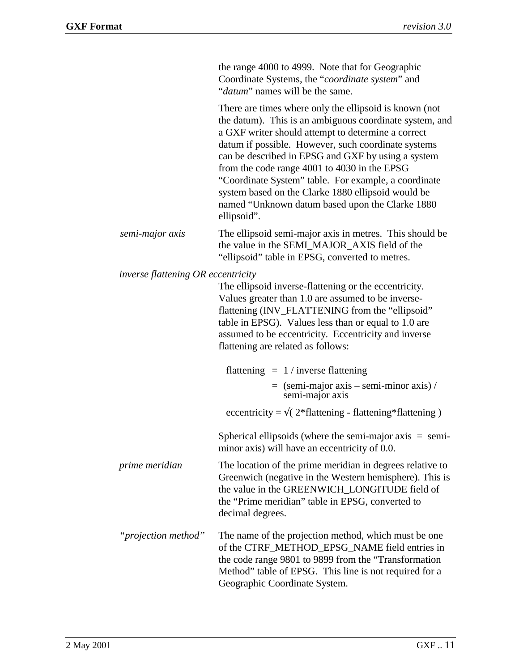|                                    | the range 4000 to 4999. Note that for Geographic<br>Coordinate Systems, the "coordinate system" and<br>" <i>datum</i> " names will be the same.                                                                                                                                                                                                                                                                                                                                                                      |
|------------------------------------|----------------------------------------------------------------------------------------------------------------------------------------------------------------------------------------------------------------------------------------------------------------------------------------------------------------------------------------------------------------------------------------------------------------------------------------------------------------------------------------------------------------------|
|                                    | There are times where only the ellipsoid is known (not<br>the datum). This is an ambiguous coordinate system, and<br>a GXF writer should attempt to determine a correct<br>datum if possible. However, such coordinate systems<br>can be described in EPSG and GXF by using a system<br>from the code range 4001 to 4030 in the EPSG<br>"Coordinate System" table. For example, a coordinate<br>system based on the Clarke 1880 ellipsoid would be<br>named "Unknown datum based upon the Clarke 1880<br>ellipsoid". |
| semi-major axis                    | The ellipsoid semi-major axis in metres. This should be<br>the value in the SEMI_MAJOR_AXIS field of the<br>"ellipsoid" table in EPSG, converted to metres.                                                                                                                                                                                                                                                                                                                                                          |
| inverse flattening OR eccentricity | The ellipsoid inverse-flattening or the eccentricity.<br>Values greater than 1.0 are assumed to be inverse-<br>flattening (INV_FLATTENING from the "ellipsoid"<br>table in EPSG). Values less than or equal to 1.0 are<br>assumed to be eccentricity. Eccentricity and inverse<br>flattening are related as follows:                                                                                                                                                                                                 |
|                                    | flattening $= 1 /$ inverse flattening                                                                                                                                                                                                                                                                                                                                                                                                                                                                                |
|                                    | $=$ (semi-major axis – semi-minor axis) /<br>semi-major axis                                                                                                                                                                                                                                                                                                                                                                                                                                                         |
|                                    | eccentricity = $\sqrt{(2*flattening - flattening*flattening)}$                                                                                                                                                                                                                                                                                                                                                                                                                                                       |
|                                    | Spherical ellipsoids (where the semi-major $axis = semi$<br>minor axis) will have an eccentricity of 0.0.                                                                                                                                                                                                                                                                                                                                                                                                            |
| prime meridian                     | The location of the prime meridian in degrees relative to<br>Greenwich (negative in the Western hemisphere). This is<br>the value in the GREENWICH_LONGITUDE field of<br>the "Prime meridian" table in EPSG, converted to<br>decimal degrees.                                                                                                                                                                                                                                                                        |
| "projection method"                | The name of the projection method, which must be one<br>of the CTRF_METHOD_EPSG_NAME field entries in<br>the code range 9801 to 9899 from the "Transformation"<br>Method" table of EPSG. This line is not required for a<br>Geographic Coordinate System.                                                                                                                                                                                                                                                            |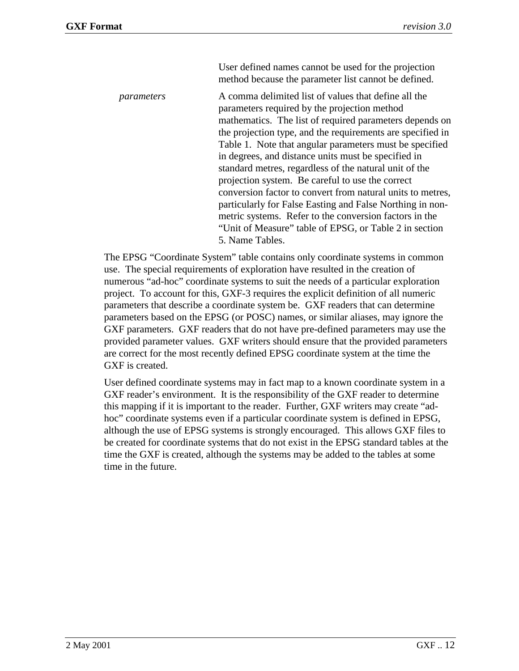User defined names cannot be used for the projection method because the parameter list cannot be defined.

*parameters* A comma delimited list of values that define all the parameters required by the projection method mathematics. The list of required parameters depends on the projection type, and the requirements are specified in Table 1. Note that angular parameters must be specified in degrees, and distance units must be specified in standard metres, regardless of the natural unit of the projection system. Be careful to use the correct conversion factor to convert from natural units to metres, particularly for False Easting and False Northing in nonmetric systems. Refer to the conversion factors in the "Unit of Measure" table of EPSG, or Table 2 in section 5. Name Tables.

The EPSG "Coordinate System" table contains only coordinate systems in common use. The special requirements of exploration have resulted in the creation of numerous "ad-hoc" coordinate systems to suit the needs of a particular exploration project. To account for this, GXF-3 requires the explicit definition of all numeric parameters that describe a coordinate system be. GXF readers that can determine parameters based on the EPSG (or POSC) names, or similar aliases, may ignore the GXF parameters. GXF readers that do not have pre-defined parameters may use the provided parameter values. GXF writers should ensure that the provided parameters are correct for the most recently defined EPSG coordinate system at the time the GXF is created.

User defined coordinate systems may in fact map to a known coordinate system in a GXF reader's environment. It is the responsibility of the GXF reader to determine this mapping if it is important to the reader. Further, GXF writers may create "adhoc" coordinate systems even if a particular coordinate system is defined in EPSG, although the use of EPSG systems is strongly encouraged. This allows GXF files to be created for coordinate systems that do not exist in the EPSG standard tables at the time the GXF is created, although the systems may be added to the tables at some time in the future.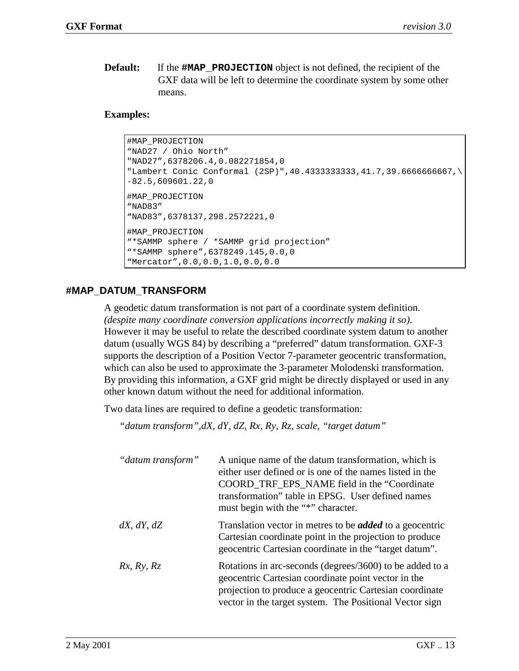<span id="page-14-0"></span>**Default:** If the **#MAP\_PROJECTION** object is not defined, the recipient of the GXF data will be left to determine the coordinate system by some other means.

#### **Examples:**

```
#MAP_PROJECTION
"NAD27 / Ohio North"
"NAD27",6378206.4,0.082271854,0
"Lambert Conic Conformal (2SP)",40.4333333333,41.7,39.6666666667,\
-82.5,609601.22,0
#MAP_PROJECTION
"NAD83"
"NAD83",6378137,298.2572221,0
#MAP_PROJECTION
"*SAMMP sphere / *SAMMP grid projection"
"*SAMMP sphere",6378249.145,0.0,0
"Mercator",0.0,0.0,1.0,0.0,0.0
```
#### **#MAP\_DATUM\_TRANSFORM**

A geodetic datum transformation is not part of a coordinate system definition. *(despite many coordinate conversion applications incorrectly making it so)*. However it may be useful to relate the described coordinate system datum to another datum (usually WGS 84) by describing a "preferred" datum transformation. GXF-3 supports the description of a Position Vector 7-parameter geocentric transformation, which can also be used to approximate the 3-parameter Molodenski transformation. By providing this information, a GXF grid might be directly displayed or used in any other known datum without the need for additional information.

Two data lines are required to define a geodetic transformation:

*"datum transform",dX, dY, dZ, Rx, Ry, Rz, scale, "target datum"* 

| "datum transform"  | A unique name of the datum transformation, which is<br>either user defined or is one of the names listed in the<br>COORD TRF EPS NAME field in the "Coordinate"<br>transformation" table in EPSG. User defined names<br>must begin with the "*" character. |
|--------------------|------------------------------------------------------------------------------------------------------------------------------------------------------------------------------------------------------------------------------------------------------------|
| $dX$ , $dY$ , $dZ$ | Translation vector in metres to be <i>added</i> to a geocentric<br>Cartesian coordinate point in the projection to produce<br>geocentric Cartesian coordinate in the "target datum".                                                                       |
| Rx, Ry, Rz         | Rotations in arc-seconds (degrees/3600) to be added to a<br>geocentric Cartesian coordinate point vector in the<br>projection to produce a geocentric Cartesian coordinate<br>vector in the target system. The Positional Vector sign                      |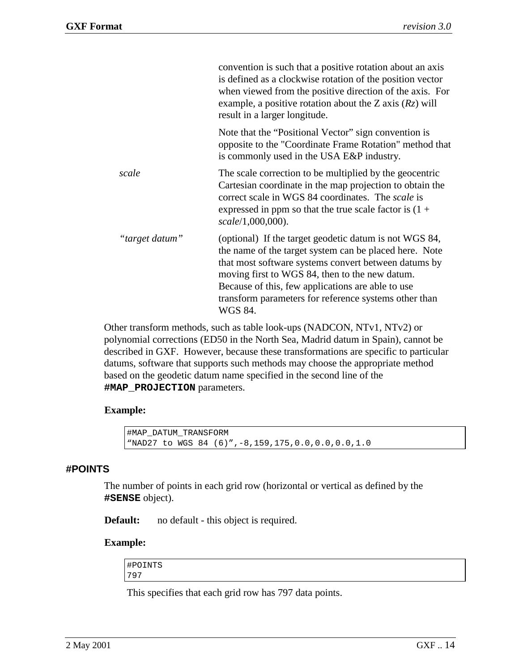<span id="page-15-0"></span>

|                | convention is such that a positive rotation about an axis<br>is defined as a clockwise rotation of the position vector<br>when viewed from the positive direction of the axis. For<br>example, a positive rotation about the Z axis $(Rz)$ will<br>result in a larger longitude.                                                                    |
|----------------|-----------------------------------------------------------------------------------------------------------------------------------------------------------------------------------------------------------------------------------------------------------------------------------------------------------------------------------------------------|
|                | Note that the "Positional Vector" sign convention is<br>opposite to the "Coordinate Frame Rotation" method that<br>is commonly used in the USA E&P industry.                                                                                                                                                                                        |
| scale          | The scale correction to be multiplied by the geocentric<br>Cartesian coordinate in the map projection to obtain the<br>correct scale in WGS 84 coordinates. The <i>scale</i> is<br>expressed in ppm so that the true scale factor is $(1 +$<br>scale/1,000,000).                                                                                    |
| "target datum" | (optional) If the target geodetic datum is not WGS 84,<br>the name of the target system can be placed here. Note<br>that most software systems convert between datums by<br>moving first to WGS 84, then to the new datum.<br>Because of this, few applications are able to use<br>transform parameters for reference systems other than<br>WGS 84. |

Other transform methods, such as table look-ups (NADCON, NTv1, NTv2) or polynomial corrections (ED50 in the North Sea, Madrid datum in Spain), cannot be described in GXF. However, because these transformations are specific to particular datums, software that supports such methods may choose the appropriate method based on the geodetic datum name specified in the second line of the **#MAP\_PROJECTION** parameters.

#### **Example:**

```
#MAP_DATUM_TRANSFORM
"NAD27 to WGS 84 (6)",-8,159,175,0.0,0.0,0.0,1.0
```
#### **#POINTS**

The number of points in each grid row (horizontal or vertical as defined by the **#SENSE** object).

**Default:** no default - this object is required.

#### **Example:**

#POINTS 797

This specifies that each grid row has 797 data points.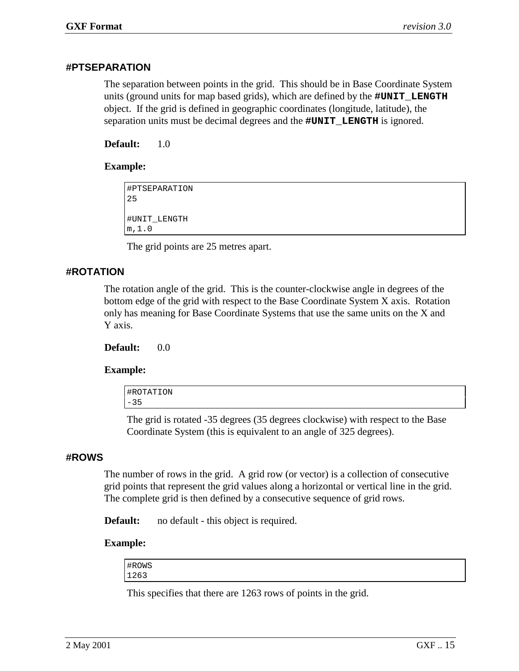#### <span id="page-16-0"></span>**#PTSEPARATION**

The separation between points in the grid. This should be in Base Coordinate System units (ground units for map based grids), which are defined by the **#UNIT\_LENGTH** object. If the grid is defined in geographic coordinates (longitude, latitude), the separation units must be decimal degrees and the **#UNIT\_LENGTH** is ignored.

**Default:** 1.0

#### **Example:**

```
#PTSEPARATION
25
#UNIT_LENGTH
m,1.0
```
The grid points are 25 metres apart.

### **#ROTATION**

The rotation angle of the grid. This is the counter-clockwise angle in degrees of the bottom edge of the grid with respect to the Base Coordinate System X axis. Rotation only has meaning for Base Coordinate Systems that use the same units on the X and Y axis.

**Default:** 0.0

#### **Example:**

| #ROTATION |  |  |
|-----------|--|--|
| $-35$     |  |  |
|           |  |  |

The grid is rotated -35 degrees (35 degrees clockwise) with respect to the Base Coordinate System (this is equivalent to an angle of 325 degrees).

#### **#ROWS**

The number of rows in the grid. A grid row (or vector) is a collection of consecutive grid points that represent the grid values along a horizontal or vertical line in the grid. The complete grid is then defined by a consecutive sequence of grid rows.

**Default:** no default - this object is required.

#### **Example:**

| #ROWS |  |  |  |
|-------|--|--|--|
| 1263  |  |  |  |

This specifies that there are 1263 rows of points in the grid.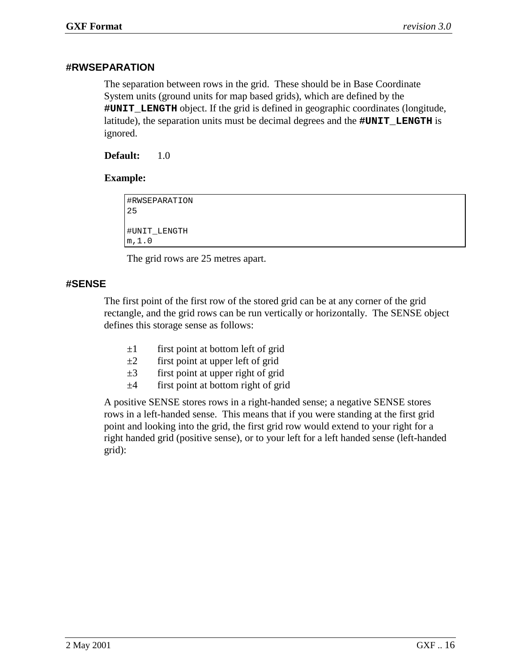#### <span id="page-17-0"></span>**#RWSEPARATION**

The separation between rows in the grid. These should be in Base Coordinate System units (ground units for map based grids), which are defined by the **#UNIT\_LENGTH** object. If the grid is defined in geographic coordinates (longitude, latitude), the separation units must be decimal degrees and the **#UNIT\_LENGTH** is ignored.

**Default:** 1.0

#### **Example:**

```
#RWSEPARATION
25
#UNIT_LENGTH
m,1.0
```
The grid rows are 25 metres apart.

#### **#SENSE**

The first point of the first row of the stored grid can be at any corner of the grid rectangle, and the grid rows can be run vertically or horizontally. The SENSE object defines this storage sense as follows:

- $\pm 1$  first point at bottom left of grid
- $\pm 2$  first point at upper left of grid
- $\pm 3$  first point at upper right of grid
- $±4$  first point at bottom right of grid

A positive SENSE stores rows in a right-handed sense; a negative SENSE stores rows in a left-handed sense. This means that if you were standing at the first grid point and looking into the grid, the first grid row would extend to your right for a right handed grid (positive sense), or to your left for a left handed sense (left-handed grid):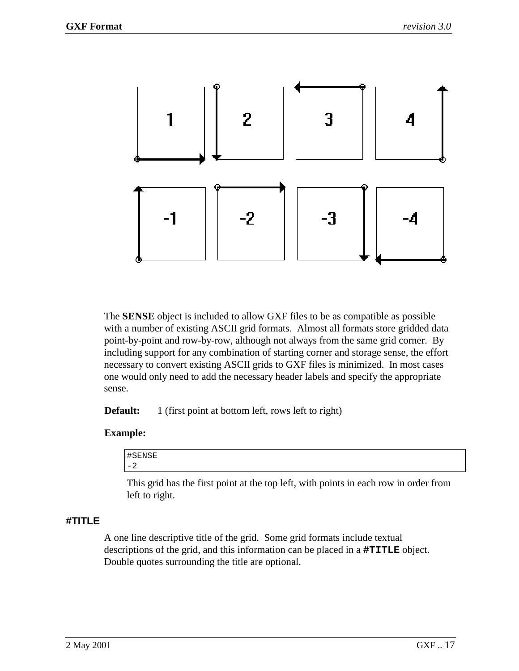<span id="page-18-0"></span>

The **SENSE** object is included to allow GXF files to be as compatible as possible with a number of existing ASCII grid formats. Almost all formats store gridded data point-by-point and row-by-row, although not always from the same grid corner. By including support for any combination of starting corner and storage sense, the effort necessary to convert existing ASCII grids to GXF files is minimized. In most cases one would only need to add the necessary header labels and specify the appropriate sense.

**Default:** 1 (first point at bottom left, rows left to right)

#### **Example:**

| $\overline{11}$<br>'FNRE<br>п<br>- 11                     |  |  |
|-----------------------------------------------------------|--|--|
| $\overline{\phantom{0}}$<br>$\overline{\phantom{a}}$<br>∠ |  |  |

This grid has the first point at the top left, with points in each row in order from left to right.

### **#TITLE**

A one line descriptive title of the grid. Some grid formats include textual descriptions of the grid, and this information can be placed in a **#TITLE** object. Double quotes surrounding the title are optional.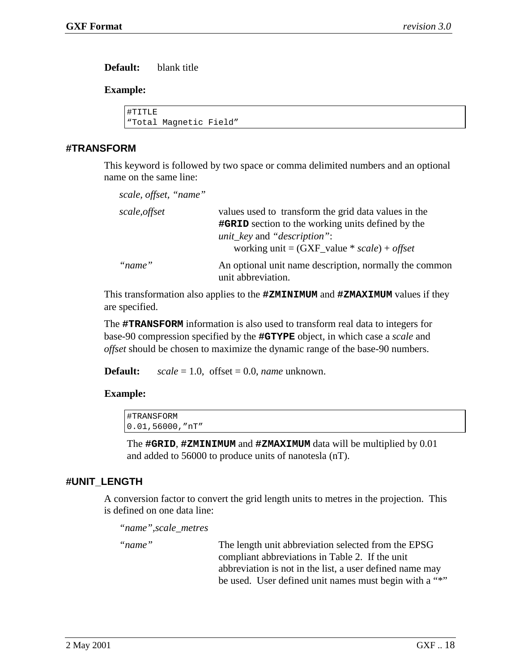<span id="page-19-0"></span>**Default:** blank title

#### **Example:**

#TITLE "Total Magnetic Field"

#### **#TRANSFORM**

This keyword is followed by two space or comma delimited numbers and an optional name on the same line:

| scale, offset, "name" |                                                                                                                                                                                                                  |
|-----------------------|------------------------------------------------------------------------------------------------------------------------------------------------------------------------------------------------------------------|
| scale, offset         | values used to transform the grid data values in the<br><b>#GRID</b> section to the working units defined by the<br><i>unit_key</i> and " <i>description</i> ":<br>working unit = $(GXF_value * scale) + offset$ |
| "name"                | An optional unit name description, normally the common<br>unit abbreviation.                                                                                                                                     |

This transformation also applies to the **#ZMINIMUM** and **#ZMAXIMUM** values if they are specified.

The **#TRANSFORM** information is also used to transform real data to integers for base-90 compression specified by the **#GTYPE** object, in which case a *scale* and *offset* should be chosen to maximize the dynamic range of the base-90 numbers.

**Default:** *scale* = 1.0, offset = 0.0, *name* unknown.

#### **Example:**

| #TRANSFORM         |  |  |
|--------------------|--|--|
| $0.01,56000,$ "nT" |  |  |

The **#GRID**, **#ZMINIMUM** and **#ZMAXIMUM** data will be multiplied by 0.01 and added to 56000 to produce units of nanotesla (nT).

#### **#UNIT\_LENGTH**

A conversion factor to convert the grid length units to metres in the projection. This is defined on one data line:

*"name",scale\_metres* 

"*name*" The length unit abbreviation selected from the EPSG compliant abbreviations in Table 2. If the unit abbreviation is not in the list, a user defined name may be used. User defined unit names must begin with a "\*"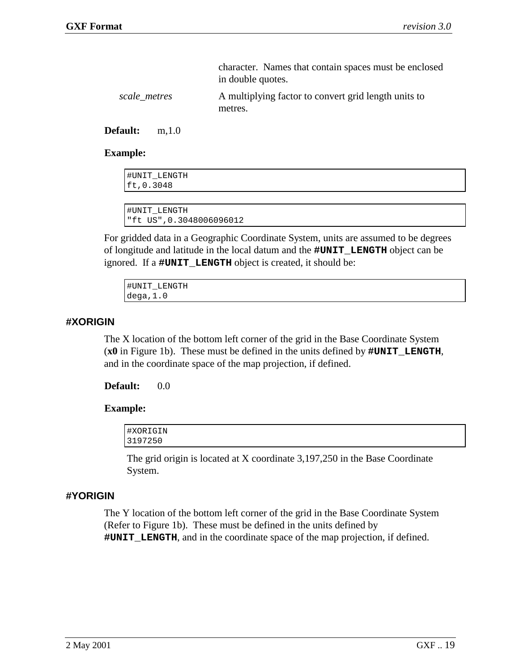<span id="page-20-0"></span>

|              | character. Names that contain spaces must be enclosed |
|--------------|-------------------------------------------------------|
|              | in double quotes.                                     |
| scale metres | A multiplying factor to convert grid length units to  |

**Default:** m,1.0

#### **Example:**

| #UNIT LENGTH<br>ft, 0.3048 |  |
|----------------------------|--|
|                            |  |

```
#UNIT_LENGTH
"ft US",0.3048006096012
```
metres.

For gridded data in a Geographic Coordinate System, units are assumed to be degrees of longitude and latitude in the local datum and the **#UNIT\_LENGTH** object can be ignored. If a **#UNIT\_LENGTH** object is created, it should be:

| #UNIT LENGTH |  |
|--------------|--|
| dega, 1.0    |  |

#### **#XORIGIN**

The X location of the bottom left corner of the grid in the Base Coordinate System (**x0** in Figure 1b). These must be defined in the units defined by **#UNIT\_LENGTH**, and in the coordinate space of the map projection, if defined.

#### **Default:** 0.0

#### **Example:**

| #XORIGIN |  |
|----------|--|
| 3197250  |  |

The grid origin is located at X coordinate 3,197,250 in the Base Coordinate System.

#### **#YORIGIN**

The Y location of the bottom left corner of the grid in the Base Coordinate System (Refer to Figure 1b). These must be defined in the units defined by **#UNIT\_LENGTH**, and in the coordinate space of the map projection, if defined.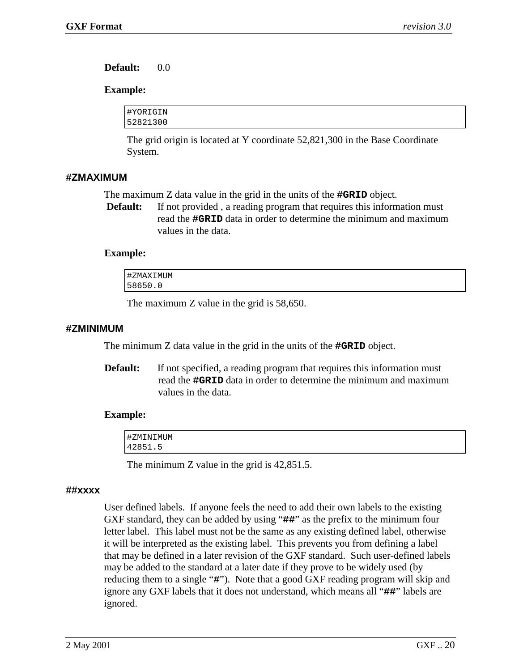<span id="page-21-0"></span>**Default:** 0.0

#### **Example:**

| #YORIGIN |  |
|----------|--|
| 52821300 |  |

The grid origin is located at Y coordinate 52,821,300 in the Base Coordinate System.

#### **#ZMAXIMUM**

The maximum Z data value in the grid in the units of the **#GRID** object.

**Default:** If not provided, a reading program that requires this information must read the **#GRID** data in order to determine the minimum and maximum values in the data.

#### **Example:**

| #ZMAXIMUM |  |  |
|-----------|--|--|
| 58650.0   |  |  |

The maximum Z value in the grid is 58,650.

#### **#ZMINIMUM**

The minimum Z data value in the grid in the units of the **#GRID** object.

**Default:** If not specified, a reading program that requires this information must read the **#GRID** data in order to determine the minimum and maximum values in the data.

#### **Example:**

| #ZMINIMUM |  |
|-----------|--|
| 42851.5   |  |

The minimum Z value in the grid is 42,851.5.

#### **##xxxx**

User defined labels. If anyone feels the need to add their own labels to the existing GXF standard, they can be added by using "**##**" as the prefix to the minimum four letter label. This label must not be the same as any existing defined label, otherwise it will be interpreted as the existing label. This prevents you from defining a label that may be defined in a later revision of the GXF standard. Such user-defined labels may be added to the standard at a later date if they prove to be widely used (by reducing them to a single "**#**"). Note that a good GXF reading program will skip and ignore any GXF labels that it does not understand, which means all "**##**" labels are ignored.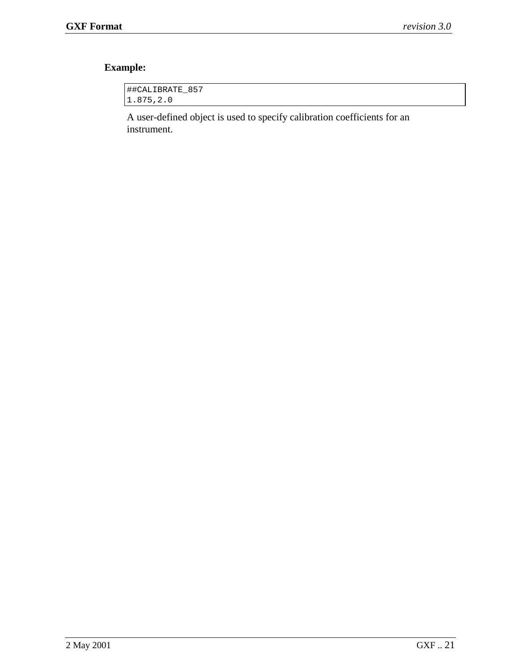# **Example:**

| ##CALIBRATE 857 |  |
|-----------------|--|
| 1.875, 2.0      |  |

A user-defined object is used to specify calibration coefficients for an instrument.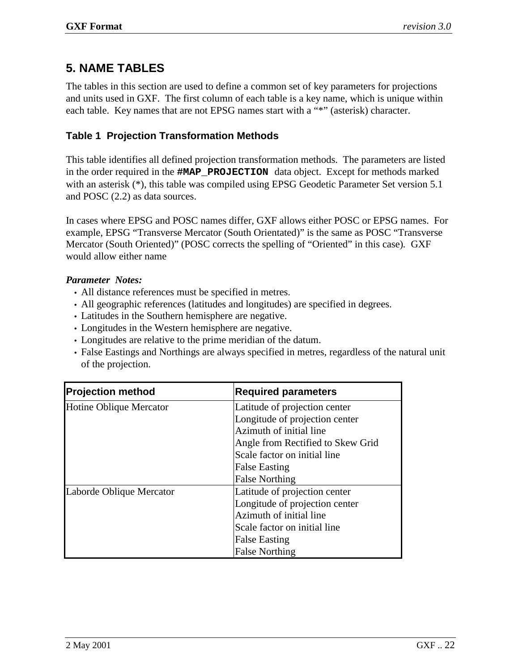## <span id="page-23-0"></span>**5. NAME TABLES**

The tables in this section are used to define a common set of key parameters for projections and units used in GXF. The first column of each table is a key name, which is unique within each table. Key names that are not EPSG names start with a "\*" (asterisk) character.

### **Table 1 Projection Transformation Methods**

This table identifies all defined projection transformation methods. The parameters are listed in the order required in the **#MAP\_PROJECTION** data object. Except for methods marked with an asterisk (\*), this table was compiled using EPSG Geodetic Parameter Set version 5.1 and POSC (2.2) as data sources.

In cases where EPSG and POSC names differ, GXF allows either POSC or EPSG names. For example, EPSG "Transverse Mercator (South Orientated)" is the same as POSC "Transverse Mercator (South Oriented)" (POSC corrects the spelling of "Oriented" in this case)*.* GXF would allow either name

### *Parameter Notes:*

- All distance references must be specified in metres.
- All geographic references (latitudes and longitudes) are specified in degrees.
- Latitudes in the Southern hemisphere are negative.
- Longitudes in the Western hemisphere are negative.
- Longitudes are relative to the prime meridian of the datum.
- False Eastings and Northings are always specified in metres, regardless of the natural unit of the projection.

| <b>Projection method</b> | <b>Required parameters</b>        |
|--------------------------|-----------------------------------|
| Hotine Oblique Mercator  | Latitude of projection center     |
|                          | Longitude of projection center    |
|                          | Azimuth of initial line           |
|                          | Angle from Rectified to Skew Grid |
|                          | Scale factor on initial line      |
|                          | <b>False Easting</b>              |
|                          | <b>False Northing</b>             |
| Laborde Oblique Mercator | Latitude of projection center     |
|                          | Longitude of projection center    |
|                          | Azimuth of initial line           |
|                          | Scale factor on initial line      |
|                          | <b>False Easting</b>              |
|                          | <b>False Northing</b>             |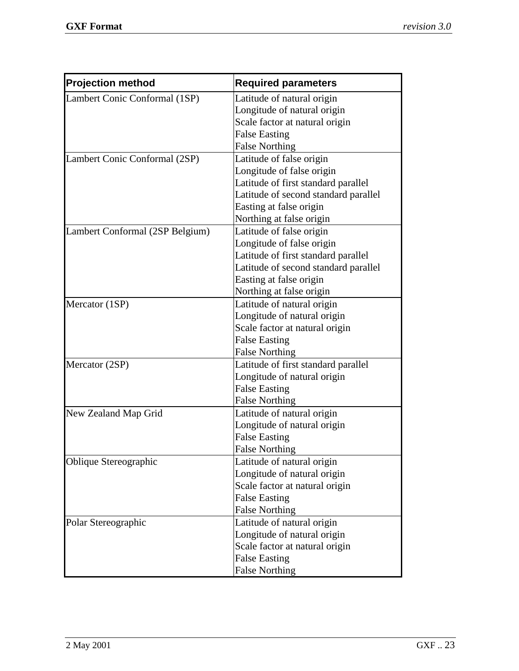| <b>Projection method</b>        | <b>Required parameters</b>           |
|---------------------------------|--------------------------------------|
| Lambert Conic Conformal (1SP)   | Latitude of natural origin           |
|                                 | Longitude of natural origin          |
|                                 | Scale factor at natural origin       |
|                                 | <b>False Easting</b>                 |
|                                 | <b>False Northing</b>                |
| Lambert Conic Conformal (2SP)   | Latitude of false origin             |
|                                 | Longitude of false origin            |
|                                 | Latitude of first standard parallel  |
|                                 | Latitude of second standard parallel |
|                                 | Easting at false origin              |
|                                 | Northing at false origin             |
| Lambert Conformal (2SP Belgium) | Latitude of false origin             |
|                                 | Longitude of false origin            |
|                                 | Latitude of first standard parallel  |
|                                 | Latitude of second standard parallel |
|                                 | Easting at false origin              |
|                                 | Northing at false origin             |
| Mercator (1SP)                  | Latitude of natural origin           |
|                                 | Longitude of natural origin          |
|                                 | Scale factor at natural origin       |
|                                 | <b>False Easting</b>                 |
|                                 | <b>False Northing</b>                |
| Mercator (2SP)                  | Latitude of first standard parallel  |
|                                 | Longitude of natural origin          |
|                                 | <b>False Easting</b>                 |
|                                 | <b>False Northing</b>                |
| New Zealand Map Grid            | Latitude of natural origin           |
|                                 | Longitude of natural origin          |
|                                 | <b>False Easting</b>                 |
|                                 | <b>False Northing</b>                |
| Oblique Stereographic           | Latitude of natural origin           |
|                                 | Longitude of natural origin          |
|                                 | Scale factor at natural origin       |
|                                 | <b>False Easting</b>                 |
|                                 | <b>False Northing</b>                |
| Polar Stereographic             | Latitude of natural origin           |
|                                 | Longitude of natural origin          |
|                                 | Scale factor at natural origin       |
|                                 | <b>False Easting</b>                 |
|                                 | <b>False Northing</b>                |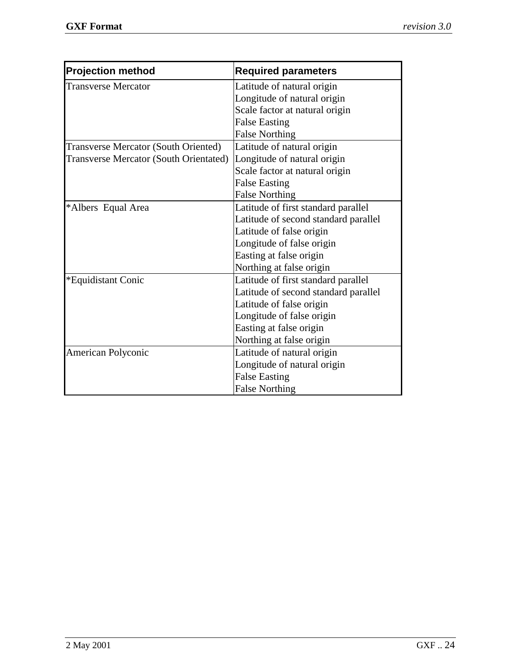| <b>Projection method</b>                      | <b>Required parameters</b>           |
|-----------------------------------------------|--------------------------------------|
| <b>Transverse Mercator</b>                    | Latitude of natural origin           |
|                                               | Longitude of natural origin          |
|                                               | Scale factor at natural origin       |
|                                               | <b>False Easting</b>                 |
|                                               | <b>False Northing</b>                |
| <b>Transverse Mercator (South Oriented)</b>   | Latitude of natural origin           |
| <b>Transverse Mercator (South Orientated)</b> | Longitude of natural origin          |
|                                               | Scale factor at natural origin       |
|                                               | <b>False Easting</b>                 |
|                                               | <b>False Northing</b>                |
| *Albers Equal Area                            | Latitude of first standard parallel  |
|                                               | Latitude of second standard parallel |
|                                               | Latitude of false origin             |
|                                               | Longitude of false origin            |
|                                               | Easting at false origin              |
|                                               | Northing at false origin             |
| *Equidistant Conic                            | Latitude of first standard parallel  |
|                                               | Latitude of second standard parallel |
|                                               | Latitude of false origin             |
|                                               | Longitude of false origin            |
|                                               | Easting at false origin              |
|                                               | Northing at false origin             |
| American Polyconic                            | Latitude of natural origin           |
|                                               | Longitude of natural origin          |
|                                               | <b>False Easting</b>                 |
|                                               | <b>False Northing</b>                |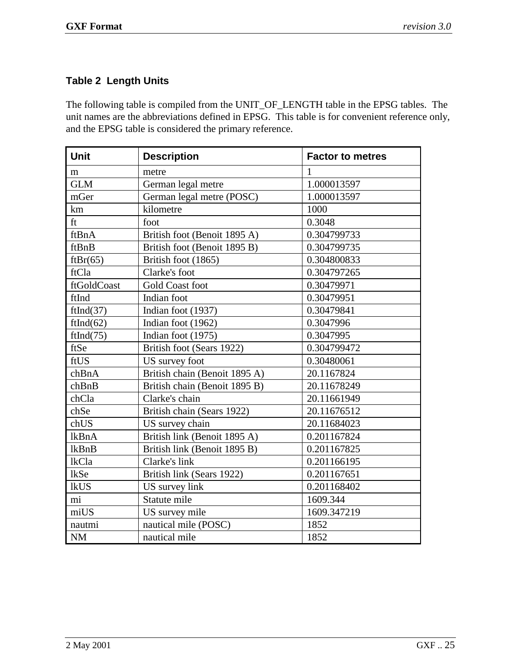### <span id="page-26-0"></span>**Table 2 Length Units**

The following table is compiled from the UNIT\_OF\_LENGTH table in the EPSG tables. The unit names are the abbreviations defined in EPSG. This table is for convenient reference only, and the EPSG table is considered the primary reference.

| <b>Unit</b>  | <b>Description</b>            | <b>Factor to metres</b> |
|--------------|-------------------------------|-------------------------|
|              |                               |                         |
| m            | metre                         | 1                       |
| <b>GLM</b>   | German legal metre            | 1.000013597             |
| mGer         | German legal metre (POSC)     | 1.000013597             |
| km           | kilometre                     | 1000                    |
| ft           | foot                          | 0.3048                  |
| ftBnA        | British foot (Benoit 1895 A)  | 0.304799733             |
| ftBnB        | British foot (Benoit 1895 B)  | 0.304799735             |
| ftBr(65)     | British foot (1865)           | 0.304800833             |
| ftCla        | Clarke's foot                 | 0.304797265             |
| ftGoldCoast  | <b>Gold Coast foot</b>        | 0.30479971              |
| ftInd        | Indian foot                   | 0.30479951              |
| ftInd(37)    | Indian foot (1937)            | 0.30479841              |
| ftInd(62)    | Indian foot (1962)            | 0.3047996               |
| ftInd(75)    | Indian foot (1975)            | 0.3047995               |
| ftSe         | British foot (Sears 1922)     | 0.304799472             |
| ftUS         | US survey foot                | 0.30480061              |
| chBnA        | British chain (Benoit 1895 A) | 20.1167824              |
| chBnB        | British chain (Benoit 1895 B) | 20.11678249             |
| chCla        | Clarke's chain                | 20.11661949             |
| chSe         | British chain (Sears 1922)    | 20.11676512             |
| chUS         | US survey chain               | 20.11684023             |
| <b>lkBnA</b> | British link (Benoit 1895 A)  | 0.201167824             |
| lkBnB        | British link (Benoit 1895 B)  | 0.201167825             |
| lkCla        | Clarke's link                 | 0.201166195             |
| <b>lkSe</b>  | British link (Sears 1922)     | 0.201167651             |
| <b>lkUS</b>  | US survey link                | 0.201168402             |
| mi           | Statute mile                  | 1609.344                |
| miUS         | US survey mile                | 1609.347219             |
| nautmi       | nautical mile (POSC)          | 1852                    |
| NM           | nautical mile                 | 1852                    |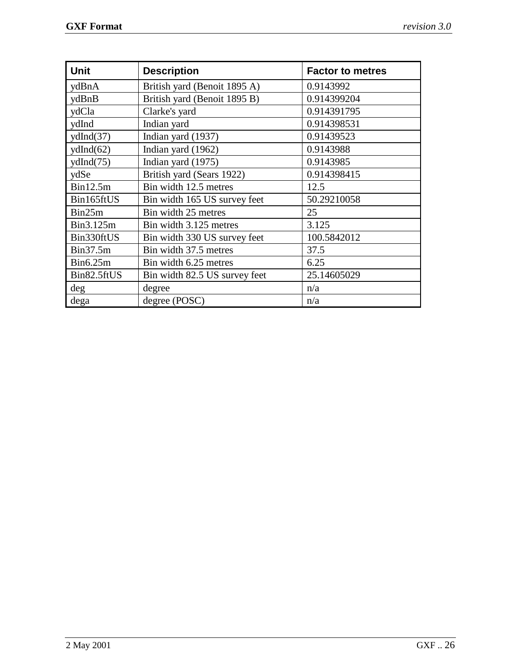| <b>Unit</b> | <b>Description</b>            | <b>Factor to metres</b> |
|-------------|-------------------------------|-------------------------|
| ydBnA       | British yard (Benoit 1895 A)  | 0.9143992               |
| ydBnB       | British yard (Benoit 1895 B)  | 0.914399204             |
| ydCla       | Clarke's yard                 | 0.914391795             |
| ydInd       | Indian yard                   | 0.914398531             |
| ydlnd(37)   | Indian yard (1937)            | 0.91439523              |
| ydlnd(62)   | Indian yard (1962)            | 0.9143988               |
| ydlnd(75)   | Indian yard $(1975)$          | 0.9143985               |
| ydSe        | British yard (Sears 1922)     | 0.914398415             |
| Bin12.5m    | Bin width 12.5 metres         | 12.5                    |
| Bin165ftUS  | Bin width 165 US survey feet  | 50.29210058             |
| Bin25m      | Bin width 25 metres           | 25                      |
| Bin3.125m   | Bin width 3.125 metres        | 3.125                   |
| Bin330ftUS  | Bin width 330 US survey feet  | 100.5842012             |
| Bin37.5m    | Bin width 37.5 metres         | 37.5                    |
| Bin6.25m    | Bin width 6.25 metres         | 6.25                    |
| Bin82.5ftUS | Bin width 82.5 US survey feet | 25.14605029             |
| deg         | degree                        | n/a                     |
| dega        | degree (POSC)                 | n/a                     |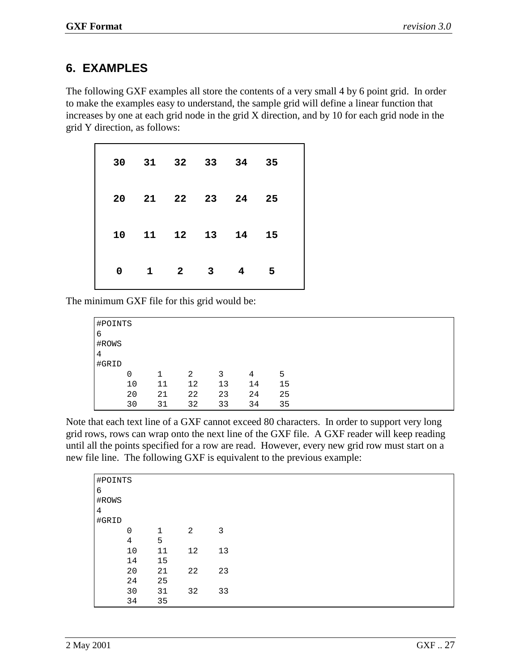## <span id="page-28-0"></span>**6. EXAMPLES**

The following GXF examples all store the contents of a very small 4 by 6 point grid. In order to make the examples easy to understand, the sample grid will define a linear function that increases by one at each grid node in the grid X direction, and by 10 for each grid node in the grid Y direction, as follows:

|  |  |  | 30 31 32 33 34 35<br>20 21 22 23 24 25<br>10 11 12 13 14 15<br>$0 \qquad 1 \qquad 2 \qquad 3 \qquad 4 \qquad 5$ |
|--|--|--|-----------------------------------------------------------------------------------------------------------------|

The minimum GXF file for this grid would be:

| #POINTS |    |    |    |    |    |    |
|---------|----|----|----|----|----|----|
| 6       |    |    |    |    |    |    |
| #ROWS   |    |    |    |    |    |    |
| 4       |    |    |    |    |    |    |
| #GRID   |    |    |    |    |    |    |
|         | 0  | 1  | 2  | 3  | 4  | 5  |
|         | 10 | 11 | 12 | 13 | 14 | 15 |
|         | 20 | 21 | 22 | 23 | 24 | 25 |
|         | 30 | 31 | 32 | 33 | 34 | 35 |

Note that each text line of a GXF cannot exceed 80 characters. In order to support very long grid rows, rows can wrap onto the next line of the GXF file. A GXF reader will keep reading until all the points specified for a row are read. However, every new grid row must start on a new file line. The following GXF is equivalent to the previous example:

| #POINTS |             |    |    |    |
|---------|-------------|----|----|----|
| 6       |             |    |    |    |
| #ROWS   |             |    |    |    |
| 4       |             |    |    |    |
| #GRID   |             |    |    |    |
|         | $\mathbf 0$ | 1  |    | 3  |
|         |             |    | 2  |    |
|         | 4           | 5  |    |    |
|         | 10          | 11 | 12 | 13 |
|         | 14          | 15 |    |    |
|         | 20          | 21 | 22 | 23 |
|         | 24          | 25 |    |    |
|         | 30          | 31 | 32 | 33 |
|         | 34          | 35 |    |    |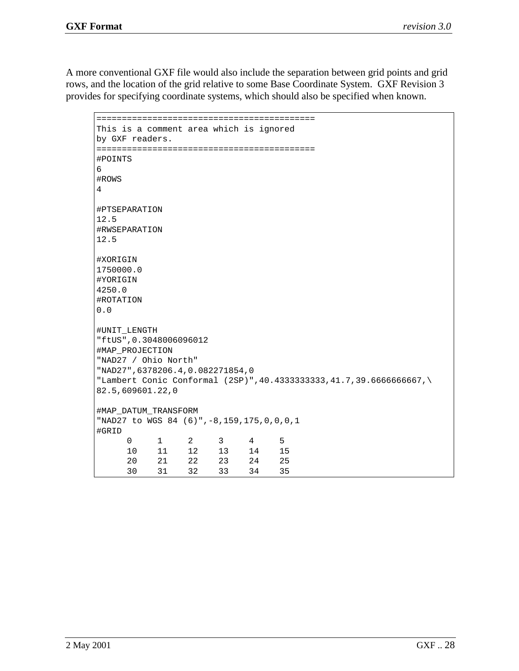A more conventional GXF file would also include the separation between grid points and grid rows, and the location of the grid relative to some Base Coordinate System. GXF Revision 3 provides for specifying coordinate systems, which should also be specified when known.

=========================================== This is a comment area which is ignored by GXF readers. =========================================== #POINTS 6 #ROWS 4 #PTSEPARATION 12.5 #RWSEPARATION 12.5 #XORIGIN 1750000.0 #YORIGIN 4250.0 #ROTATION 0.0 #UNIT\_LENGTH "ftUS",0.3048006096012 #MAP\_PROJECTION "NAD27 / Ohio North" "NAD27",6378206.4,0.082271854,0 "Lambert Conic Conformal (2SP)",40.4333333333,41.7,39.6666666667,\ 82.5,609601.22,0 #MAP\_DATUM\_TRANSFORM "NAD27 to WGS 84 (6)",-8,159,175,0,0,0,1 #GRID 012345 10 11 12 13 14 15 20 21 22 23 24 25 30 31 32 33 34 35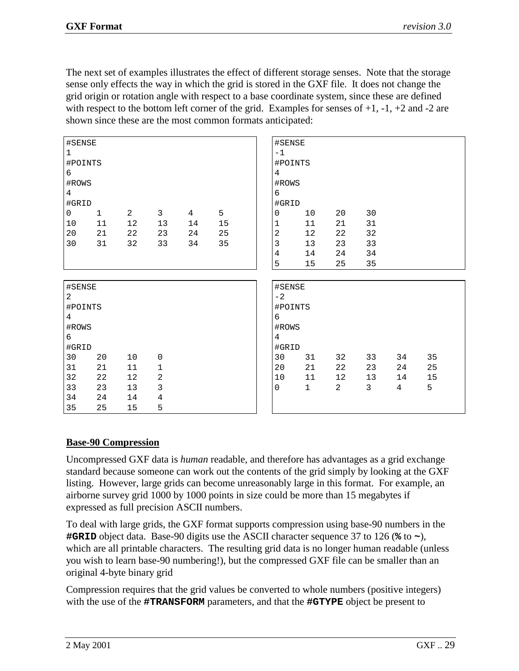The next set of examples illustrates the effect of different storage senses. Note that the storage sense only effects the way in which the grid is stored in the GXF file. It does not change the grid origin or rotation angle with respect to a base coordinate system, since these are defined with respect to the bottom left corner of the grid. Examples for senses of  $+1$ ,  $-1$ ,  $+2$  and  $-2$  are shown since these are the most common formats anticipated:

| #SENSE          |              |                |                |                |    | #SENSE          |    |                |                |                 |    |  |
|-----------------|--------------|----------------|----------------|----------------|----|-----------------|----|----------------|----------------|-----------------|----|--|
| $\mathbf{1}$    |              |                |                |                |    | $-1$            |    |                |                |                 |    |  |
| #POINTS         |              |                |                |                |    | #POINTS         |    |                |                |                 |    |  |
| 6               |              |                |                |                |    | 4               |    |                |                |                 |    |  |
| #ROWS           |              |                |                |                |    | #ROWS           |    |                |                |                 |    |  |
| $4\overline{ }$ |              |                |                |                |    | 6               |    |                |                |                 |    |  |
| #GRID           |              |                |                |                |    | #GRID           |    |                |                |                 |    |  |
| $\overline{0}$  | $\mathbf{1}$ | $\overline{a}$ | $\mathbf{3}$   | $\overline{4}$ | 5  | $\mathbf 0$     | 10 | 20             | 30             |                 |    |  |
| 10              | $11\,$       | $12$           | 13             | 14             | 15 | $1\,$           | 11 | 21             | 31             |                 |    |  |
| 20              | 21           | 22             | 23             | 24             | 25 | $\sqrt{2}$      | 12 | 22             | 32             |                 |    |  |
| 30              | 31           | 32             | 33             | 34             | 35 | $\mathfrak{Z}$  | 13 | 23             | 33             |                 |    |  |
|                 |              |                |                |                |    | $\sqrt{4}$      | 14 | 24             | 34             |                 |    |  |
|                 |              |                |                |                |    | 5               | 15 | 25             | 35             |                 |    |  |
|                 |              |                |                |                |    |                 |    |                |                |                 |    |  |
| #SENSE          |              |                |                |                |    | #SENSE          |    |                |                |                 |    |  |
| $\overline{a}$  |              |                |                |                |    | $-2$            |    |                |                |                 |    |  |
| #POINTS         |              |                |                |                |    | #POINTS         |    |                |                |                 |    |  |
| $4\overline{ }$ |              |                |                |                |    | 6               |    |                |                |                 |    |  |
| #ROWS           |              |                |                |                |    | #ROWS           |    |                |                |                 |    |  |
| 6               |              |                |                |                |    | $4\overline{ }$ |    |                |                |                 |    |  |
| #GRID           |              |                |                |                |    | #GRID           |    |                |                |                 |    |  |
| 30              | 20           | 10             | $\mathsf 0$    |                |    | 30              | 31 | 32             | 33             | 34              | 35 |  |
| 31              | 21           | 11             | $\mathbf{1}$   |                |    | 20              | 21 | 22             | 23             | 24              | 25 |  |
| 32              | 22           | 12             | $\sqrt{2}$     |                |    | 10              | 11 | 12             | 13             | 14              | 15 |  |
| 33              | 23           | 13             | $\mathfrak{Z}$ |                |    | $\mathbf 0$     | 1  | $\overline{a}$ | 3 <sup>7</sup> | $4\overline{ }$ | 5  |  |
|                 |              |                |                |                |    |                 |    |                |                |                 |    |  |
| 34              | 24           | 14             | $\,4$          |                |    |                 |    |                |                |                 |    |  |

#### **Base-90 Compression**

Uncompressed GXF data is *human* readable, and therefore has advantages as a grid exchange standard because someone can work out the contents of the grid simply by looking at the GXF listing. However, large grids can become unreasonably large in this format. For example, an airborne survey grid 1000 by 1000 points in size could be more than 15 megabytes if expressed as full precision ASCII numbers.

To deal with large grids, the GXF format supports compression using base-90 numbers in the **#GRID** object data. Base-90 digits use the ASCII character sequence 37 to 126 (**%** to **~**), which are all printable characters. The resulting grid data is no longer human readable (unless you wish to learn base-90 numbering!), but the compressed GXF file can be smaller than an original 4-byte binary grid

Compression requires that the grid values be converted to whole numbers (positive integers) with the use of the **#TRANSFORM** parameters, and that the **#GTYPE** object be present to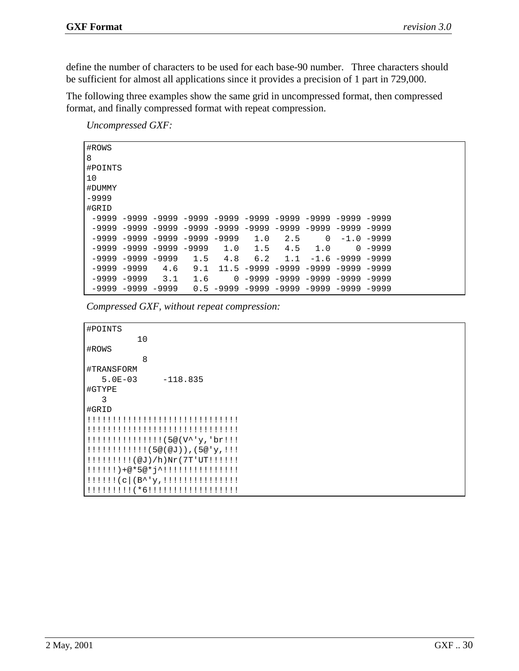define the number of characters to be used for each base-90 number. Three characters should be sufficient for almost all applications since it provides a precision of 1 part in 729,000.

The following three examples show the same grid in uncompressed format, then compressed format, and finally compressed format with repeat compression.

*Uncompressed GXF:* 

| #ROWS       |                                     |     |     |          |     |     |          |                                                                                 |              |
|-------------|-------------------------------------|-----|-----|----------|-----|-----|----------|---------------------------------------------------------------------------------|--------------|
| 8           |                                     |     |     |          |     |     |          |                                                                                 |              |
| #POINTS     |                                     |     |     |          |     |     |          |                                                                                 |              |
| 10          |                                     |     |     |          |     |     |          |                                                                                 |              |
| #DUMMY      |                                     |     |     |          |     |     |          |                                                                                 |              |
| $-9999$     |                                     |     |     |          |     |     |          |                                                                                 |              |
| #GRID       |                                     |     |     |          |     |     |          |                                                                                 |              |
|             |                                     |     |     |          |     |     |          | $-9999$ $-9999$ $-9999$ $-9999$ $-9999$ $-9999$ $-9999$ $-9999$ $-9999$ $-9999$ |              |
|             |                                     |     |     |          |     |     |          | $-9999$ $-9999$ $-9999$ $-9999$ $-9999$ $-9999$ $-9999$ $-9999$ $-9999$         |              |
|             | $-9999 - 9999 - 9999 - 9999 - 9999$ |     |     |          | 1.0 | 2.5 | $\Omega$ |                                                                                 | $-1.0 -9999$ |
|             | $-9999 - 9999 - 9999 - 9999$        |     |     | 1.0      | 1.5 | 4.5 | 1.0      | $\Omega$                                                                        | $-9999$      |
|             | $-9999 - 9999 - 9999$               |     | 1.5 | 4.8      | 6.2 | 1.1 |          | $-1.6 - 9999 - 9999$                                                            |              |
| -9999 -9999 |                                     | 4.6 | 9.1 |          |     |     |          | 11.5 -9999 -9999 -9999 -9999                                                    | -9999        |
|             | -9999 -9999                         | 3.1 | 1.6 | $\Omega$ |     |     |          | -9999 -9999 -9999 -9999 -9999                                                   |              |
|             | $-9999 - 9999 - 9999$               |     |     |          |     |     |          | $0.5 -9999 -9999 -9999 -9999 -9999 -9999 -9999$                                 |              |

*Compressed GXF, without repeat compression:* 

```
#POINTS
          10
#ROWS
           8
#TRANSFORM
   5.0E-03 -118.835
#GTYPE
   3
#GRID
!!!!!!!!!!!!!!!!!!!!!!!!!!!!!!
!!!!!!!!!!!!!!!!!!!!!!!!!!!!!!
!!!!!!!!!!!!!!!(5@(V^'y,'br!!!
!!!!!!!!!!!!(5@(@J)),(5@'y,!!!
!!!!!!!!!(@J)/h)Nr(7T'UT!!!!!!
!!!!!!)+@*5@*j^!!!!!!!!!!!!!!!
!!!!!!(c|(B^'y,!!!!!!!!!!!!!!!
!!!!!!!!!(*6!!!!!!!!!!!!!!!!!!
```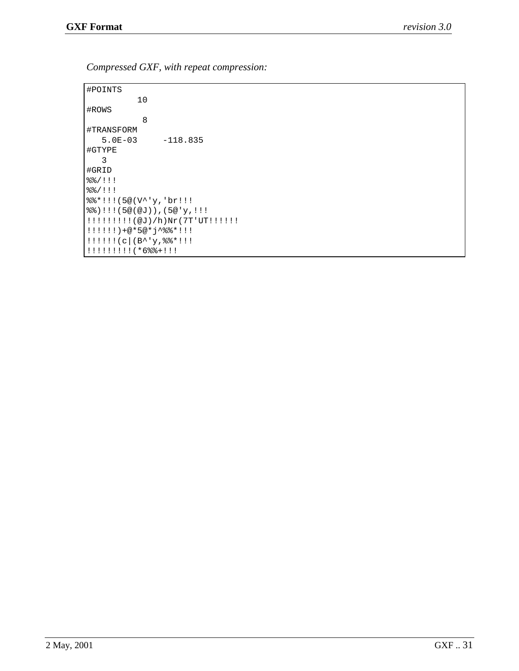*Compressed GXF, with repeat compression:* 

#POINTS 10 #ROWS 8 #TRANSFORM 5.0E-03 -118.835 #GTYPE 3 #GRID %%/!!! %%/!!! %%\*!!!(5@(V^'y,'br!!! %%)!!!(5@(@J)),(5@'y,!!! !!!!!!!!!(@J)/h)Nr(7T'UT!!!!!! !!!!!!)+@\*5@\*j^%%\*!!! !!!!!!(c|(B^'y,%%\*!!! !!!!!!!!!(\*6%%+!!!